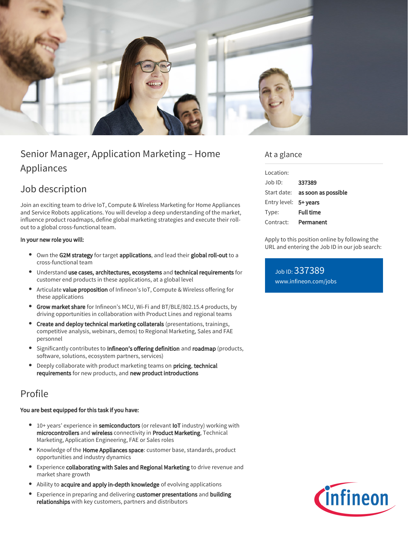

# Senior Manager, Application Marketing – Home Appliances

# Job description

Join an exciting team to drive IoT, Compute & Wireless Marketing for Home Appliances and Service Robots applications. You will develop a deep understanding of the market, influence product roadmaps, define global marketing strategies and execute their rollout to a global cross-functional team.

## In your new role you will:

- Own the G2M strategy for target applications, and lead their global roll-out to a cross-functional team
- Understand use cases, architectures, ecosystems and technical requirements for customer end products in these applications, at a global level
- Articulate value proposition of Infineon's IoT, Compute & Wireless offering for these applications
- **Grow market share** for Infineon's MCU, Wi-Fi and BT/BLE/802.15.4 products, by driving opportunities in collaboration with Product Lines and regional teams
- $\bullet$ Create and deploy technical marketing collaterals (presentations, trainings, competitive analysis, webinars, demos) to Regional Marketing, Sales and FAE personnel
- Significantly contributes to Infineon's offering definition and roadmap (products, software, solutions, ecosystem partners, services)
- Deeply collaborate with product marketing teams on pricing, technical requirements for new products, and new product introductions

## Profile

### You are best equipped for this task if you have:

- 10+ years' experience in semiconductors (or relevant loT industry) working with microcontrollers and wireless connectivity in Product Marketing, Technical Marketing, Application Engineering, FAE or Sales roles
- Knowledge of the **Home Appliances space**: customer base, standards, product opportunities and industry dynamics
- $\bullet$ Experience collaborating with Sales and Regional Marketing to drive revenue and market share growth
- Ability to acquire and apply in-depth knowledge of evolving applications
- $\bullet$ Experience in preparing and delivering customer presentations and building relationships with key customers, partners and distributors

## At a glance

| Location:             |                                        |
|-----------------------|----------------------------------------|
| Job ID:               | 337389                                 |
|                       | Start date: <b>as soon as possible</b> |
| Entry level: 5+ years |                                        |
| Type:                 | <b>Full time</b>                       |
| Contract:             | Permanent                              |

Apply to this position online by following the URL and entering the Job ID in our job search:

Job ID: 337389 [www.infineon.com/jobs](https://www.infineon.com/jobs)

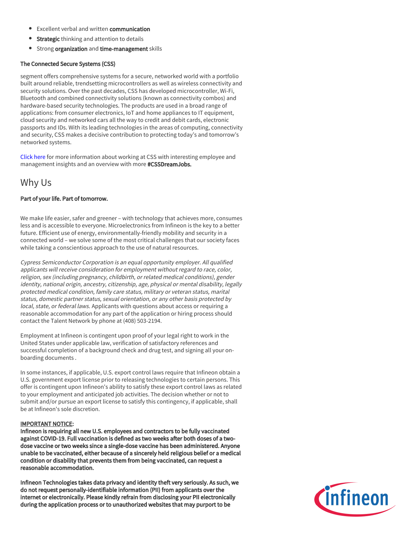- **Excellent verbal and written communication**
- **Strategic** thinking and attention to details
- **•** Strong organization and time-management skills

### The Connected Secure Systems (CSS)

segment offers comprehensive systems for a secure, networked world with a portfolio built around reliable, trendsetting microcontrollers as well as wireless connectivity and security solutions. Over the past decades, CSS has developed microcontroller, Wi-Fi, Bluetooth and combined connectivity solutions (known as connectivity combos) and hardware-based security technologies. The products are used in a broad range of applications: from consumer electronics, IoT and home appliances to IT equipment, cloud security and networked cars all the way to credit and debit cards, electronic passports and IDs. With its leading technologies in the areas of computing, connectivity and security, CSS makes a decisive contribution to protecting today's and tomorrow's networked systems.

[Click here](https://www.infineon.com/cms/en/careers/working-at-infineon/cssdreamjob/) for more information about working at CSS with interesting employee and management insights and an overview with more #CSSDreamJobs.

## Why Us

## Part of your life. Part of tomorrow.

We make life easier, safer and greener – with technology that achieves more, consumes less and is accessible to everyone. Microelectronics from Infineon is the key to a better future. Efficient use of energy, environmentally-friendly mobility and security in a connected world – we solve some of the most critical challenges that our society faces while taking a conscientious approach to the use of natural resources.

Cypress Semiconductor Corporation is an equal opportunity employer. All qualified applicants will receive consideration for employment without regard to race, color, religion, sex (including pregnancy, childbirth, or related medical conditions), gender identity, national origin, ancestry, citizenship, age, physical or mental disability, legally protected medical condition, family care status, military or veteran status, marital status, domestic partner status, sexual orientation, or any other basis protected by local, state, or federal laws. Applicants with questions about access or requiring a reasonable accommodation for any part of the application or hiring process should contact the Talent Network by phone at (408) 503-2194.

Employment at Infineon is contingent upon proof of your legal right to work in the United States under applicable law, verification of satisfactory references and successful completion of a background check and drug test, and signing all your onboarding documents .

In some instances, if applicable, U.S. export control laws require that Infineon obtain a U.S. government export license prior to releasing technologies to certain persons. This offer is contingent upon Infineon's ability to satisfy these export control laws as related to your employment and anticipated job activities. The decision whether or not to submit and/or pursue an export license to satisfy this contingency, if applicable, shall be at Infineon's sole discretion.

#### IMPORTANT NOTICE:

Infineon is requiring all new U.S. employees and contractors to be fully vaccinated against COVID-19. Full vaccination is defined as two weeks after both doses of a twodose vaccine or two weeks since a single-dose vaccine has been administered. Anyone unable to be vaccinated, either because of a sincerely held religious belief or a medical condition or disability that prevents them from being vaccinated, can request a reasonable accommodation.

Infineon Technologies takes data privacy and identity theft very seriously. As such, we do not request personally-identifiable information (PII) from applicants over the internet or electronically. Please kindly refrain from disclosing your PII electronically during the application process or to unauthorized websites that may purport to be